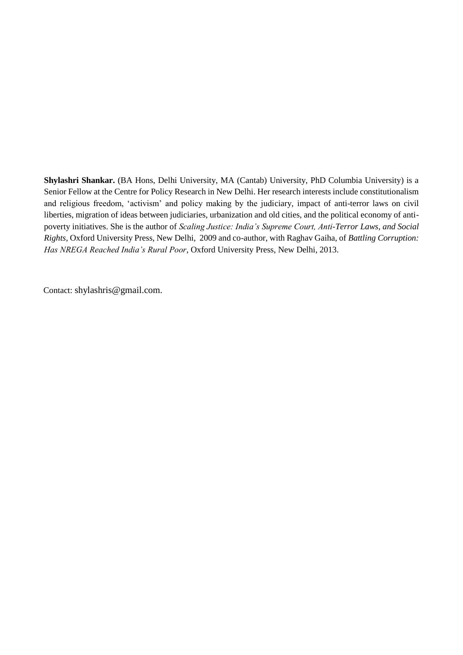**Shylashri Shankar.** (BA Hons, Delhi University, MA (Cantab) University, PhD Columbia University) is a Senior Fellow at the Centre for Policy Research in New Delhi. Her research interests include constitutionalism and religious freedom, 'activism' and policy making by the judiciary, impact of anti-terror laws on civil liberties, migration of ideas between judiciaries, urbanization and old cities, and the political economy of antipoverty initiatives. She is the author of *Scaling Justice: India's Supreme Court, Anti-Terror Laws, and Social Rights,* Oxford University Press, New Delhi, 2009 and co-author, with Raghav Gaiha, of *Battling Corruption: Has NREGA Reached India's Rural Poor*, Oxford University Press, New Delhi, 2013.

Contact: shylashris@gmail.com.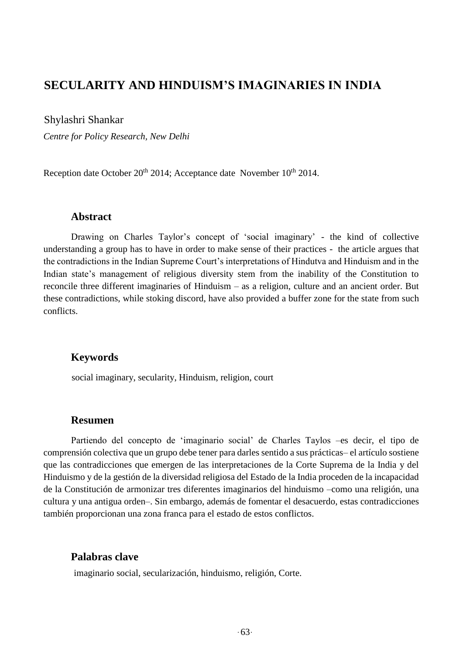# **SECULARITY AND HINDUISM'S IMAGINARIES IN INDIA**

## Shylashri Shankar

*Centre for Policy Research, New Delhi* 

Reception date October  $20<sup>th</sup> 2014$ ; Acceptance date November  $10<sup>th</sup> 2014$ .

# **Abstract**

Drawing on Charles Taylor's concept of 'social imaginary' - the kind of collective understanding a group has to have in order to make sense of their practices - the article argues that the contradictions in the Indian Supreme Court's interpretations of Hindutva and Hinduism and in the Indian state's management of religious diversity stem from the inability of the Constitution to reconcile three different imaginaries of Hinduism – as a religion, culture and an ancient order. But these contradictions, while stoking discord, have also provided a buffer zone for the state from such conflicts.

# **Keywords**

social imaginary, secularity, Hinduism, religion, court

### **Resumen**

Partiendo del concepto de 'imaginario social' de Charles Taylos –es decir, el tipo de comprensión colectiva que un grupo debe tener para darles sentido a sus prácticas– el artículo sostiene que las contradicciones que emergen de las interpretaciones de la Corte Suprema de la India y del Hinduismo y de la gestión de la diversidad religiosa del Estado de la India proceden de la incapacidad de la Constitución de armonizar tres diferentes imaginarios del hinduismo –como una religión, una cultura y una antigua orden–. Sin embargo, además de fomentar el desacuerdo, estas contradicciones también proporcionan una zona franca para el estado de estos conflictos.

## **Palabras clave**

imaginario social, secularización, hinduismo, religión, Corte.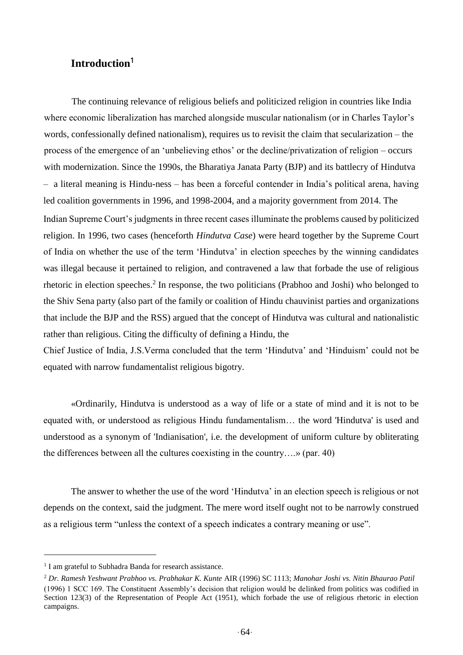# **Introduction**<sup>1</sup>

The continuing relevance of religious beliefs and politicized religion in countries like India where economic liberalization has marched alongside muscular nationalism (or in Charles Taylor's words, confessionally defined nationalism), requires us to revisit the claim that secularization – the process of the emergence of an 'unbelieving ethos' or the decline/privatization of religion – occurs with modernization. Since the 1990s, the Bharatiya Janata Party (BJP) and its battlecry of Hindutva – a literal meaning is Hindu-ness – has been a forceful contender in India's political arena, having led coalition governments in 1996, and 1998-2004, and a majority government from 2014. The Indian Supreme Court's judgments in three recent cases illuminate the problems caused by politicized religion. In 1996, two cases (henceforth *Hindutva Case*) were heard together by the Supreme Court of India on whether the use of the term 'Hindutva' in election speeches by the winning candidates was illegal because it pertained to religion, and contravened a law that forbade the use of religious rhetoric in election speeches.<sup>2</sup> In response, the two politicians (Prabhoo and Joshi) who belonged to the Shiv Sena party (also part of the family or coalition of Hindu chauvinist parties and organizations that include the BJP and the RSS) argued that the concept of Hindutva was cultural and nationalistic rather than religious. Citing the difficulty of defining a Hindu, the

Chief Justice of India, J.S.Verma concluded that the term 'Hindutva' and 'Hinduism' could not be equated with narrow fundamentalist religious bigotry.

«Ordinarily, Hindutva is understood as a way of life or a state of mind and it is not to be equated with, or understood as religious Hindu fundamentalism… the word 'Hindutva' is used and understood as a synonym of 'Indianisation', i.e. the development of uniform culture by obliterating the differences between all the cultures coexisting in the country….» (par. 40)

The answer to whether the use of the word 'Hindutva' in an election speech is religious or not depends on the context, said the judgment. The mere word itself ought not to be narrowly construed as a religious term "unless the context of a speech indicates a contrary meaning or use".

<sup>&</sup>lt;sup>1</sup> I am grateful to Subhadra Banda for research assistance.

<sup>2</sup> *Dr. Ramesh Yeshwant Prabhoo vs. Prabhakar K. Kunte* AIR (1996) SC 1113; *Manohar Joshi vs. Nitin Bhaurao Patil* (1996) 1 SCC 169. The Constituent Assembly's decision that religion would be delinked from politics was codified in Section 123(3) of the Representation of People Act (1951), which forbade the use of religious rhetoric in election campaigns.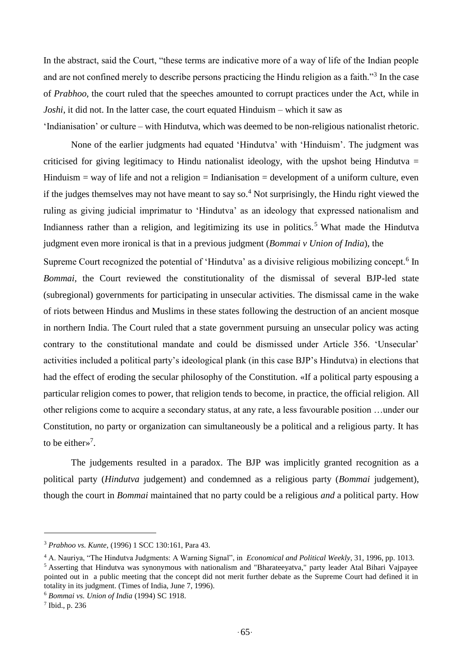In the abstract, said the Court, "these terms are indicative more of a way of life of the Indian people and are not confined merely to describe persons practicing the Hindu religion as a faith."<sup>3</sup> In the case of *Prabhoo*, the court ruled that the speeches amounted to corrupt practices under the Act, while in *Joshi*, it did not. In the latter case, the court equated Hinduism – which it saw as

'Indianisation' or culture – with Hindutva, which was deemed to be non-religious nationalist rhetoric.

None of the earlier judgments had equated 'Hindutva' with 'Hinduism'. The judgment was criticised for giving legitimacy to Hindu nationalist ideology, with the upshot being Hindutva  $=$ Hinduism  $=$  way of life and not a religion  $=$  Indianisation  $=$  development of a uniform culture, even if the judges themselves may not have meant to say so.<sup>4</sup> Not surprisingly, the Hindu right viewed the ruling as giving judicial imprimatur to 'Hindutva' as an ideology that expressed nationalism and Indianness rather than a religion, and legitimizing its use in politics.<sup>5</sup> What made the Hindutva judgment even more ironical is that in a previous judgment (*Bommai v Union of India*), the

Supreme Court recognized the potential of 'Hindutva' as a divisive religious mobilizing concept.<sup>6</sup> In *Bommai*, the Court reviewed the constitutionality of the dismissal of several BJP-led state (subregional) governments for participating in unsecular activities. The dismissal came in the wake of riots between Hindus and Muslims in these states following the destruction of an ancient mosque in northern India. The Court ruled that a state government pursuing an unsecular policy was acting contrary to the constitutional mandate and could be dismissed under Article 356. 'Unsecular' activities included a political party's ideological plank (in this case BJP's Hindutva) in elections that had the effect of eroding the secular philosophy of the Constitution. «If a political party espousing a particular religion comes to power, that religion tends to become, in practice, the official religion. All other religions come to acquire a secondary status, at any rate, a less favourable position …under our Constitution, no party or organization can simultaneously be a political and a religious party. It has to be either»<sup>7</sup>.

The judgements resulted in a paradox. The BJP was implicitly granted recognition as a political party (*Hindutva* judgement) and condemned as a religious party (*Bommai* judgement), though the court in *Bommai* maintained that no party could be a religious *and* a political party. How

<sup>3</sup> *Prabhoo vs. Kunte*, (1996) 1 SCC 130:161, Para 43.

<sup>4</sup> A. Nauriya, "The Hindutva Judgments: A Warning Signal", in *Economical and Political Weekly*, 31, 1996, pp. 1013. <sup>5</sup> Asserting that Hindutva was synonymous with nationalism and "Bharateeyatva," party leader Atal Bihari Vajpayee pointed out in a public meeting that the concept did not merit further debate as the Supreme Court had defined it in totality in its judgment. (Times of India, June 7, 1996).

<sup>6</sup> *Bommai vs. Union of India* (1994) SC 1918.

<sup>7</sup> Ibid., p. 236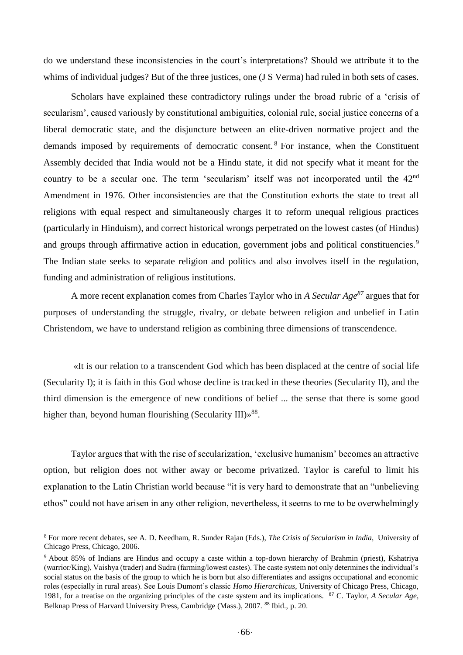do we understand these inconsistencies in the court's interpretations? Should we attribute it to the whims of individual judges? But of the three justices, one (J S Verma) had ruled in both sets of cases.

Scholars have explained these contradictory rulings under the broad rubric of a 'crisis of secularism', caused variously by constitutional ambiguities, colonial rule, social justice concerns of a liberal democratic state, and the disjuncture between an elite-driven normative project and the demands imposed by requirements of democratic consent.<sup>8</sup> For instance, when the Constituent Assembly decided that India would not be a Hindu state, it did not specify what it meant for the country to be a secular one. The term 'secularism' itself was not incorporated until the 42<sup>nd</sup> Amendment in 1976. Other inconsistencies are that the Constitution exhorts the state to treat all religions with equal respect and simultaneously charges it to reform unequal religious practices (particularly in Hinduism), and correct historical wrongs perpetrated on the lowest castes (of Hindus) and groups through affirmative action in education, government jobs and political constituencies.<sup>9</sup> The Indian state seeks to separate religion and politics and also involves itself in the regulation, funding and administration of religious institutions.

A more recent explanation comes from Charles Taylor who in *A Secular Age<sup>87</sup>* argues that for purposes of understanding the struggle, rivalry, or debate between religion and unbelief in Latin Christendom, we have to understand religion as combining three dimensions of transcendence.

«It is our relation to a transcendent God which has been displaced at the centre of social life (Secularity I); it is faith in this God whose decline is tracked in these theories (Secularity II), and the third dimension is the emergence of new conditions of belief ... the sense that there is some good higher than, beyond human flourishing (Secularity III)»<sup>88</sup>.

Taylor argues that with the rise of secularization, 'exclusive humanism' becomes an attractive option, but religion does not wither away or become privatized. Taylor is careful to limit his explanation to the Latin Christian world because "it is very hard to demonstrate that an "unbelieving ethos" could not have arisen in any other religion, nevertheless, it seems to me to be overwhelmingly

<sup>8</sup> For more recent debates, see A. D. Needham, R. Sunder Rajan (Eds.), *The Crisis of Secularism in India*, University of Chicago Press, Chicago, 2006.

<sup>9</sup> About 85% of Indians are Hindus and occupy a caste within a top-down hierarchy of Brahmin (priest), Kshatriya (warrior/King), Vaishya (trader) and Sudra (farming/lowest castes). The caste system not only determines the individual's social status on the basis of the group to which he is born but also differentiates and assigns occupational and economic roles (especially in rural areas). See Louis Dumont's classic *Homo Hierarchicus*, University of Chicago Press, Chicago, 1981, for a treatise on the organizing principles of the caste system and its implications. <sup>87</sup> C. Taylor, *A Secular Age*, Belknap Press of Harvard University Press, Cambridge (Mass.), 2007. <sup>88</sup> Ibid., p. 20.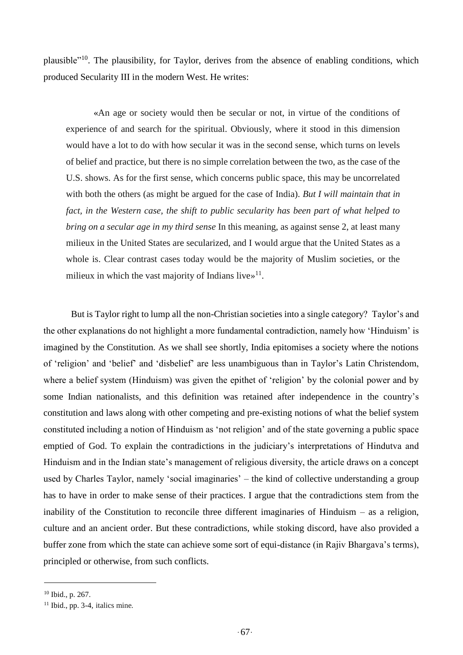plausible"<sup>10</sup>. The plausibility, for Taylor, derives from the absence of enabling conditions, which produced Secularity III in the modern West. He writes:

«An age or society would then be secular or not, in virtue of the conditions of experience of and search for the spiritual. Obviously, where it stood in this dimension would have a lot to do with how secular it was in the second sense, which turns on levels of belief and practice, but there is no simple correlation between the two, as the case of the U.S. shows. As for the first sense, which concerns public space, this may be uncorrelated with both the others (as might be argued for the case of India). *But I will maintain that in fact, in the Western case, the shift to public secularity has been part of what helped to bring on a secular age in my third sense* In this meaning, as against sense 2, at least many milieux in the United States are secularized, and I would argue that the United States as a whole is. Clear contrast cases today would be the majority of Muslim societies, or the milieux in which the vast majority of Indians live $\mathbb{R}^{11}$ .

But is Taylor right to lump all the non-Christian societies into a single category? Taylor's and the other explanations do not highlight a more fundamental contradiction, namely how 'Hinduism' is imagined by the Constitution. As we shall see shortly, India epitomises a society where the notions of 'religion' and 'belief' and 'disbelief' are less unambiguous than in Taylor's Latin Christendom, where a belief system (Hinduism) was given the epithet of 'religion' by the colonial power and by some Indian nationalists, and this definition was retained after independence in the country's constitution and laws along with other competing and pre-existing notions of what the belief system constituted including a notion of Hinduism as 'not religion' and of the state governing a public space emptied of God. To explain the contradictions in the judiciary's interpretations of Hindutva and Hinduism and in the Indian state's management of religious diversity, the article draws on a concept used by Charles Taylor, namely 'social imaginaries' – the kind of collective understanding a group has to have in order to make sense of their practices. I argue that the contradictions stem from the inability of the Constitution to reconcile three different imaginaries of Hinduism – as a religion, culture and an ancient order. But these contradictions, while stoking discord, have also provided a buffer zone from which the state can achieve some sort of equi-distance (in Rajiv Bhargava's terms), principled or otherwise, from such conflicts.

<sup>10</sup> Ibid., p. 267.

<sup>11</sup> Ibid., pp. 3-4, italics mine*.*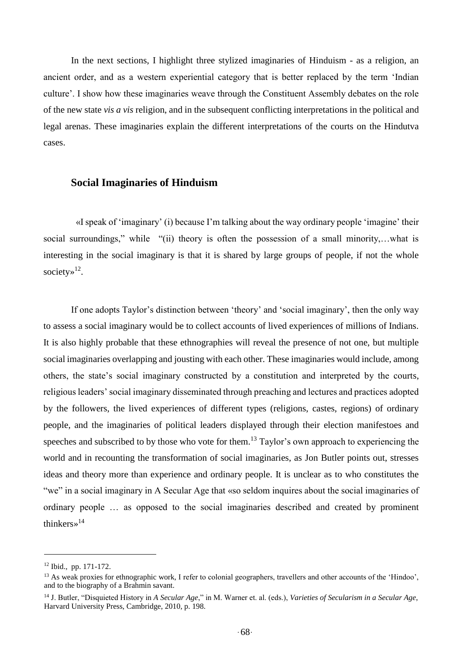In the next sections, I highlight three stylized imaginaries of Hinduism - as a religion, an ancient order, and as a western experiential category that is better replaced by the term 'Indian culture'. I show how these imaginaries weave through the Constituent Assembly debates on the role of the new state *vis a vis* religion, and in the subsequent conflicting interpretations in the political and legal arenas. These imaginaries explain the different interpretations of the courts on the Hindutva cases.

# **Social Imaginaries of Hinduism**

 «I speak of 'imaginary' (i) because I'm talking about the way ordinary people 'imagine' their social surroundings," while "(ii) theory is often the possession of a small minority,...what is interesting in the social imaginary is that it is shared by large groups of people, if not the whole society»<sup>12</sup>.

If one adopts Taylor's distinction between 'theory' and 'social imaginary', then the only way to assess a social imaginary would be to collect accounts of lived experiences of millions of Indians. It is also highly probable that these ethnographies will reveal the presence of not one, but multiple social imaginaries overlapping and jousting with each other. These imaginaries would include, among others, the state's social imaginary constructed by a constitution and interpreted by the courts, religious leaders' social imaginary disseminated through preaching and lectures and practices adopted by the followers, the lived experiences of different types (religions, castes, regions) of ordinary people, and the imaginaries of political leaders displayed through their election manifestoes and speeches and subscribed to by those who vote for them.<sup>13</sup> Taylor's own approach to experiencing the world and in recounting the transformation of social imaginaries, as Jon Butler points out, stresses ideas and theory more than experience and ordinary people. It is unclear as to who constitutes the "we" in a social imaginary in A Secular Age that «so seldom inquires about the social imaginaries of ordinary people … as opposed to the social imaginaries described and created by prominent thinkers»<sup>14</sup>

<sup>12</sup> Ibid., pp. 171-172.

<sup>&</sup>lt;sup>13</sup> As weak proxies for ethnographic work, I refer to colonial geographers, travellers and other accounts of the 'Hindoo', and to the biography of a Brahmin savant.

<sup>14</sup> J. Butler, "Disquieted History in *A Secular Age*," in M. Warner et. al. (eds.), *Varieties of Secularism in a Secular Age*, Harvard University Press, Cambridge, 2010, p. 198.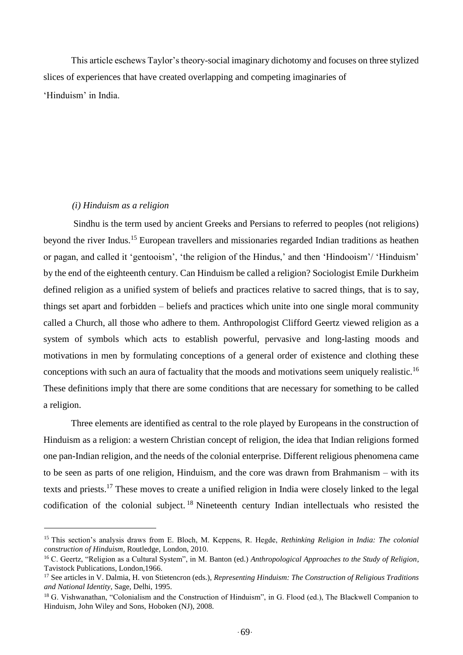This article eschews Taylor's theory-social imaginary dichotomy and focuses on three stylized slices of experiences that have created overlapping and competing imaginaries of 'Hinduism' in India.

#### *(i) Hinduism as a religion*

<u>.</u>

Sindhu is the term used by ancient Greeks and Persians to referred to peoples (not religions) beyond the river Indus.<sup>15</sup> European travellers and missionaries regarded Indian traditions as heathen or pagan, and called it 'gentooism', 'the religion of the Hindus,' and then 'Hindooism'/ 'Hinduism' by the end of the eighteenth century. Can Hinduism be called a religion? Sociologist Emile Durkheim defined religion as a unified system of beliefs and practices relative to sacred things, that is to say, things set apart and forbidden – beliefs and practices which unite into one single moral community called a Church, all those who adhere to them. Anthropologist Clifford Geertz viewed religion as a system of symbols which acts to establish powerful, pervasive and long-lasting moods and motivations in men by formulating conceptions of a general order of existence and clothing these conceptions with such an aura of factuality that the moods and motivations seem uniquely realistic.<sup>16</sup> These definitions imply that there are some conditions that are necessary for something to be called a religion.

Three elements are identified as central to the role played by Europeans in the construction of Hinduism as a religion: a western Christian concept of religion, the idea that Indian religions formed one pan-Indian religion, and the needs of the colonial enterprise. Different religious phenomena came to be seen as parts of one religion, Hinduism, and the core was drawn from Brahmanism – with its texts and priests.<sup>17</sup> These moves to create a unified religion in India were closely linked to the legal codification of the colonial subject. <sup>18</sup> Nineteenth century Indian intellectuals who resisted the

<sup>15</sup> This section's analysis draws from E. Bloch, M. Keppens, R. Hegde, *Rethinking Religion in India: The colonial construction of Hinduism*, Routledge, London, 2010.

<sup>16</sup> C. Geertz, "Religion as a Cultural System", in M. Banton (ed.) *Anthropological Approaches to the Study of Religion*, Tavistock Publications, London,1966.

<sup>17</sup> See articles in V. Dalmia, H. von Stietencron (eds.), *Representing Hinduism: The Construction of Religious Traditions and National Identity*, Sage, Delhi, 1995.

<sup>&</sup>lt;sup>18</sup> G. Vishwanathan, "Colonialism and the Construction of Hinduism", in G. Flood (ed.), The Blackwell Companion to Hinduism, John Wiley and Sons, [Hoboken](https://www.google.it/search?q=hoboken&stick=H4sIAAAAAAAAAGOovnz8BQMDgzMHnxCnfq6-gVFueVGZEgeIWZFnnqSllZ1spZ9flJ6Yl1mVWJKZn4fCscpITUwpLE0sKkktKlbaNPXAQlPJKRPlHXodbTSi1bJSXAGF8-e5YAAAAA&sa=X&ei=5yj0VI6eH-XmywO11IKoDA&ved=0CIABEJsTKAEwEQ) [\(NJ\),](https://www.google.it/search?q=new+jersey&stick=H4sIAAAAAAAAAGOovnz8BQMDgzMHnxCnfq6-gVFueVGZEgeIaZqWlaallZ1spZ9flJ6Yl1mVWJKZn4fCscpITUwpLE0sKkktKlbTMw0JfCfcGK6h8uDKl4ln6mMvRwAAj6UVUWAAAAA&sa=X&ei=5yj0VI6eH-XmywO11IKoDA&ved=0CIEBEJsTKAIwEQ) 2008.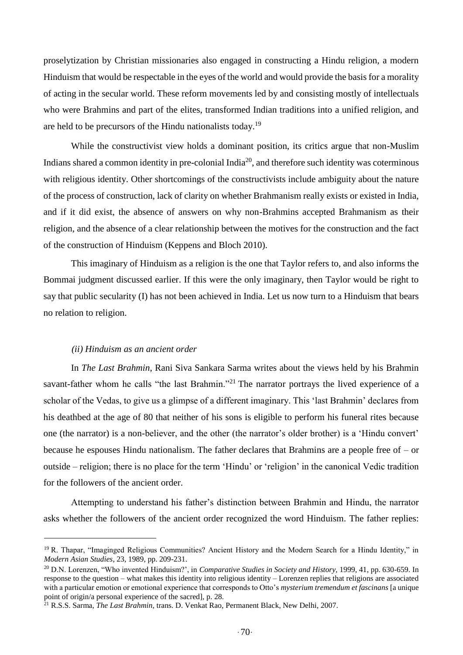proselytization by Christian missionaries also engaged in constructing a Hindu religion, a modern Hinduism that would be respectable in the eyes of the world and would provide the basis for a morality of acting in the secular world. These reform movements led by and consisting mostly of intellectuals who were Brahmins and part of the elites, transformed Indian traditions into a unified religion, and are held to be precursors of the Hindu nationalists today.<sup>19</sup>

While the constructivist view holds a dominant position, its critics argue that non-Muslim Indians shared a common identity in pre-colonial India<sup>20</sup>, and therefore such identity was coterminous with religious identity. Other shortcomings of the constructivists include ambiguity about the nature of the process of construction, lack of clarity on whether Brahmanism really exists or existed in India, and if it did exist, the absence of answers on why non-Brahmins accepted Brahmanism as their religion, and the absence of a clear relationship between the motives for the construction and the fact of the construction of Hinduism (Keppens and Bloch 2010).

This imaginary of Hinduism as a religion is the one that Taylor refers to, and also informs the Bommai judgment discussed earlier. If this were the only imaginary, then Taylor would be right to say that public secularity (I) has not been achieved in India. Let us now turn to a Hinduism that bears no relation to religion.

#### *(ii) Hinduism as an ancient order*

1

In *The Last Brahmin*, Rani Siva Sankara Sarma writes about the views held by his Brahmin savant-father whom he calls "the last Brahmin."<sup>21</sup> The narrator portrays the lived experience of a scholar of the Vedas, to give us a glimpse of a different imaginary. This 'last Brahmin' declares from his deathbed at the age of 80 that neither of his sons is eligible to perform his funeral rites because one (the narrator) is a non-believer, and the other (the narrator's older brother) is a 'Hindu convert' because he espouses Hindu nationalism. The father declares that Brahmins are a people free of – or outside – religion; there is no place for the term 'Hindu' or 'religion' in the canonical Vedic tradition for the followers of the ancient order.

Attempting to understand his father's distinction between Brahmin and Hindu, the narrator asks whether the followers of the ancient order recognized the word Hinduism. The father replies:

<sup>&</sup>lt;sup>19</sup> R. Thapar, "Imaginged Religious Communities? Ancient History and the Modern Search for a Hindu Identity," in *Modern Asian Studies*, 23, 1989, pp. 209-231.

<sup>20</sup> D.N. Lorenzen, "Who invented Hinduism?', in *Comparative Studies in Society and History*, 1999, 41, pp. 630-659. In response to the question – what makes this identity into religious identity – Lorenzen replies that religions are associated with a particular emotion or emotional experience that corresponds to Otto's *mysterium tremendum et fascinans* [a unique point of origin/a personal experience of the sacred], p. 28.

<sup>21</sup> R.S.S. Sarma, *The Last Brahmin*, trans. D. Venkat Rao, Permanent Black, New Delhi, 2007.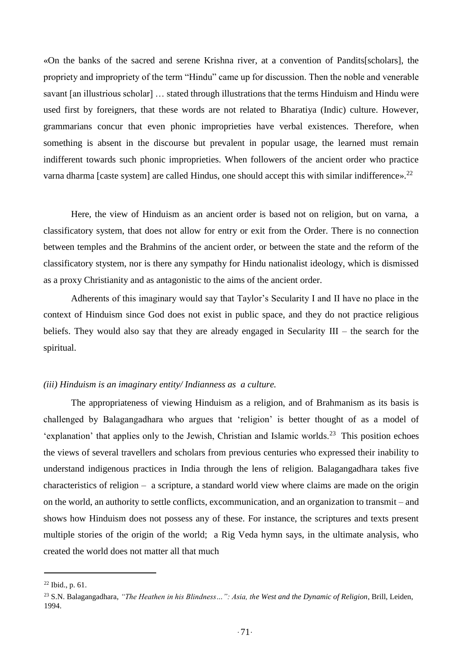«On the banks of the sacred and serene Krishna river, at a convention of Pandits[scholars], the propriety and impropriety of the term "Hindu" came up for discussion. Then the noble and venerable savant [an illustrious scholar] … stated through illustrations that the terms Hinduism and Hindu were used first by foreigners, that these words are not related to Bharatiya (Indic) culture. However, grammarians concur that even phonic improprieties have verbal existences. Therefore, when something is absent in the discourse but prevalent in popular usage, the learned must remain indifferent towards such phonic improprieties. When followers of the ancient order who practice varna dharma [caste system] are called Hindus, one should accept this with similar indifference».<sup>22</sup>

Here, the view of Hinduism as an ancient order is based not on religion, but on varna, a classificatory system, that does not allow for entry or exit from the Order. There is no connection between temples and the Brahmins of the ancient order, or between the state and the reform of the classificatory stystem, nor is there any sympathy for Hindu nationalist ideology, which is dismissed as a proxy Christianity and as antagonistic to the aims of the ancient order.

Adherents of this imaginary would say that Taylor's Secularity I and II have no place in the context of Hinduism since God does not exist in public space, and they do not practice religious beliefs. They would also say that they are already engaged in Secularity III – the search for the spiritual.

### *(iii) Hinduism is an imaginary entity/ Indianness as a culture.*

The appropriateness of viewing Hinduism as a religion, and of Brahmanism as its basis is challenged by Balagangadhara who argues that 'religion' is better thought of as a model of 'explanation' that applies only to the Jewish, Christian and Islamic worlds.<sup>23</sup> This position echoes the views of several travellers and scholars from previous centuries who expressed their inability to understand indigenous practices in India through the lens of religion. Balagangadhara takes five characteristics of religion – a scripture, a standard world view where claims are made on the origin on the world, an authority to settle conflicts, excommunication, and an organization to transmit – and shows how Hinduism does not possess any of these. For instance, the scriptures and texts present multiple stories of the origin of the world; a Rig Veda hymn says, in the ultimate analysis, who created the world does not matter all that much

 $22$  Ibid., p. 61.

<sup>23</sup> S.N. Balagangadhara, *"The Heathen in his Blindness…": Asia, the West and the Dynamic of Religion*, Brill, Leiden, 1994.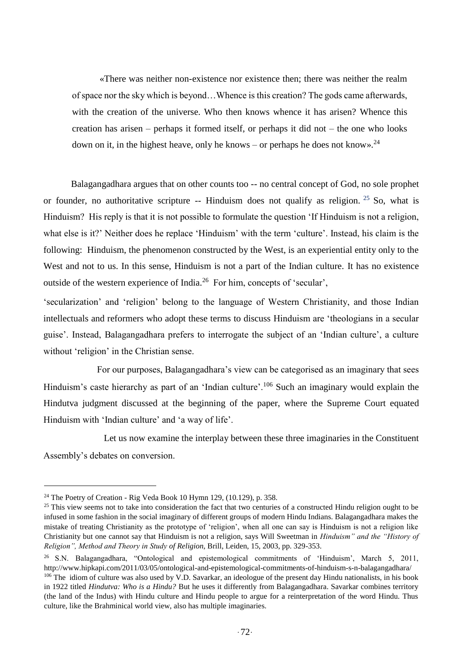«There was neither non-existence nor existence then; there was neither the realm of space nor the sky which is beyond…Whence is this creation? The gods came afterwards, with the creation of the universe. Who then knows whence it has arisen? Whence this creation has arisen – perhaps it formed itself, or perhaps it did not – the one who looks down on it, in the highest heave, only he knows – or perhaps he does not know».<sup>24</sup>

Balagangadhara argues that on other counts too -- no central concept of God, no sole prophet or founder, no authoritative scripture -- Hinduism does not qualify as religion. <sup>25</sup> So, what is Hinduism? His reply is that it is not possible to formulate the question 'If Hinduism is not a religion, what else is it?' Neither does he replace 'Hinduism' with the term 'culture'. Instead, his claim is the following: Hinduism, the phenomenon constructed by the West, is an experiential entity only to the West and not to us. In this sense, Hinduism is not a part of the Indian culture. It has no existence outside of the western experience of India.<sup>26</sup> For him, concepts of 'secular',

'secularization' and 'religion' belong to the language of Western Christianity, and those Indian intellectuals and reformers who adopt these terms to discuss Hinduism are 'theologians in a secular guise'. Instead, Balagangadhara prefers to interrogate the subject of an 'Indian culture', a culture without 'religion' in the Christian sense.

For our purposes, Balagangadhara's view can be categorised as an imaginary that sees Hinduism's caste hierarchy as part of an 'Indian culture'.<sup>106</sup> Such an imaginary would explain the Hindutva judgment discussed at the beginning of the paper, where the Supreme Court equated Hinduism with 'Indian culture' and 'a way of life'.

Let us now examine the interplay between these three imaginaries in the Constituent Assembly's debates on conversion.

 $24$  The Poetry of Creation - Rig Veda Book 10 Hymn 129, (10.129), p. 358.

 $25$  This view seems not to take into consideration the fact that two centuries of a constructed Hindu religion ought to be infused in some fashion in the social imaginary of different groups of modern Hindu Indians. Balagangadhara makes the mistake of treating Christianity as the prototype of 'religion', when all one can say is Hinduism is not a religion like Christianity but one cannot say that Hinduism is not a religion, says Will Sweetman in *Hinduism" and the "History of Religion", Method and Theory in Study of Religion*, Brill, Leiden, 15, 2003, pp. 329-353.

<sup>26</sup> S.N. Balagangadhara, "Ontological and epistemological commitments of 'Hinduism', March 5, 2011, http://www.hipkapi.com/2011/03/05/ontological-and-epistemological-commitments-of-hinduism-s-n-balagangadhara/  $106$  The idiom of culture was also used by V.D. Savarkar, an ideologue of the present day Hindu nationalists, in his book in 1922 titled *Hindutva: Who is a Hindu?* But he uses it differently from Balagangadhara. Savarkar combines territory (the land of the Indus) with Hindu culture and Hindu people to argue for a reinterpretation of the word Hindu. Thus culture, like the Brahminical world view, also has multiple imaginaries.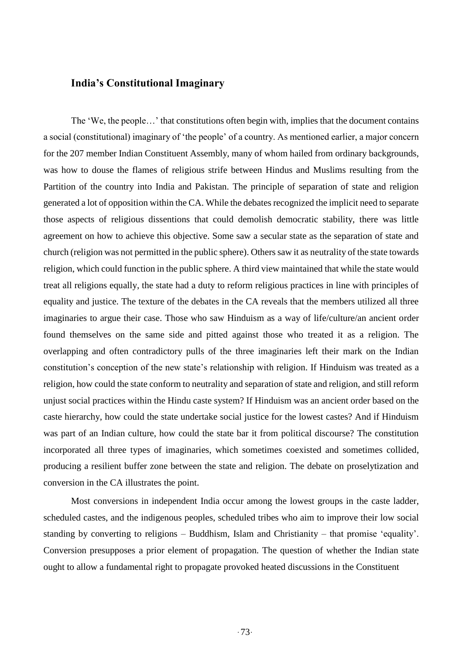# **India's Constitutional Imaginary**

The 'We, the people…' that constitutions often begin with, implies that the document contains a social (constitutional) imaginary of 'the people' of a country. As mentioned earlier, a major concern for the 207 member Indian Constituent Assembly, many of whom hailed from ordinary backgrounds, was how to douse the flames of religious strife between Hindus and Muslims resulting from the Partition of the country into India and Pakistan. The principle of separation of state and religion generated a lot of opposition within the CA. While the debates recognized the implicit need to separate those aspects of religious dissentions that could demolish democratic stability, there was little agreement on how to achieve this objective. Some saw a secular state as the separation of state and church (religion was not permitted in the public sphere). Others saw it as neutrality of the state towards religion, which could function in the public sphere. A third view maintained that while the state would treat all religions equally, the state had a duty to reform religious practices in line with principles of equality and justice. The texture of the debates in the CA reveals that the members utilized all three imaginaries to argue their case. Those who saw Hinduism as a way of life/culture/an ancient order found themselves on the same side and pitted against those who treated it as a religion. The overlapping and often contradictory pulls of the three imaginaries left their mark on the Indian constitution's conception of the new state's relationship with religion. If Hinduism was treated as a religion, how could the state conform to neutrality and separation of state and religion, and still reform unjust social practices within the Hindu caste system? If Hinduism was an ancient order based on the caste hierarchy, how could the state undertake social justice for the lowest castes? And if Hinduism was part of an Indian culture, how could the state bar it from political discourse? The constitution incorporated all three types of imaginaries, which sometimes coexisted and sometimes collided, producing a resilient buffer zone between the state and religion. The debate on proselytization and conversion in the CA illustrates the point.

Most conversions in independent India occur among the lowest groups in the caste ladder, scheduled castes, and the indigenous peoples, scheduled tribes who aim to improve their low social standing by converting to religions – Buddhism, Islam and Christianity – that promise 'equality'. Conversion presupposes a prior element of propagation. The question of whether the Indian state ought to allow a fundamental right to propagate provoked heated discussions in the Constituent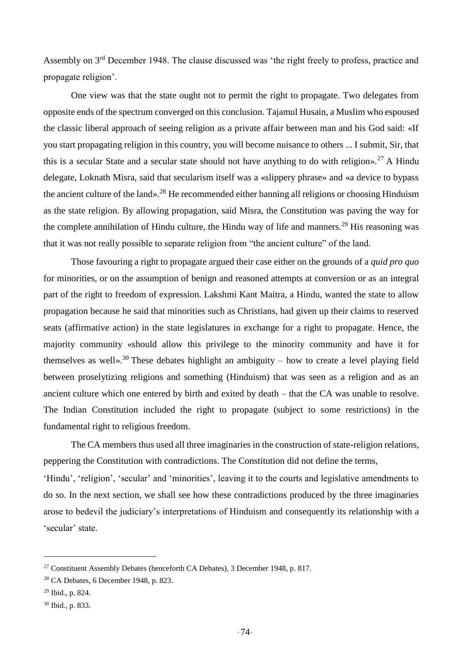Assembly on 3rd December 1948. The clause discussed was 'the right freely to profess, practice and propagate religion'.

One view was that the state ought not to permit the right to propagate. Two delegates from opposite ends of the spectrum converged on this conclusion. Tajamul Husain, a Muslim who espoused the classic liberal approach of seeing religion as a private affair between man and his God said: «If you start propagating religion in this country, you will become nuisance to others ... I submit, Sir, that this is a secular State and a secular state should not have anything to do with religion».<sup>27</sup> A Hindu delegate, Loknath Misra, said that secularism itself was a «slippery phrase» and «a device to bypass the ancient culture of the land».<sup>28</sup> He recommended either banning all religions or choosing Hinduism as the state religion. By allowing propagation, said Misra, the Constitution was paving the way for the complete annihilation of Hindu culture, the Hindu way of life and manners.<sup>29</sup> His reasoning was that it was not really possible to separate religion from "the ancient culture" of the land.

Those favouring a right to propagate argued their case either on the grounds of a *quid pro quo* for minorities, or on the assumption of benign and reasoned attempts at conversion or as an integral part of the right to freedom of expression. Lakshmi Kant Maitra, a Hindu, wanted the state to allow propagation because he said that minorities such as Christians, had given up their claims to reserved seats (affirmative action) in the state legislatures in exchange for a right to propagate. Hence, the majority community «should allow this privilege to the minority community and have it for themselves as well».<sup>30</sup> These debates highlight an ambiguity – how to create a level playing field between proselytizing religions and something (Hinduism) that was seen as a religion and as an ancient culture which one entered by birth and exited by death – that the CA was unable to resolve. The Indian Constitution included the right to propagate (subject to some restrictions) in the fundamental right to religious freedom.

The CA members thus used all three imaginaries in the construction of state-religion relations, peppering the Constitution with contradictions. The Constitution did not define the terms,

'Hindu', 'religion', 'secular' and 'minorities', leaving it to the courts and legislative amendments to do so. In the next section, we shall see how these contradictions produced by the three imaginaries arose to bedevil the judiciary's interpretations of Hinduism and consequently its relationship with a 'secular' state.

<sup>&</sup>lt;sup>27</sup> Constituent Assembly Debates (henceforth CA Debates), 3 December 1948, p. 817.

<sup>28</sup> CA Debates, 6 December 1948, p. 823.

<sup>29</sup> Ibid., p. 824.

<sup>30</sup> Ibid., p. 833.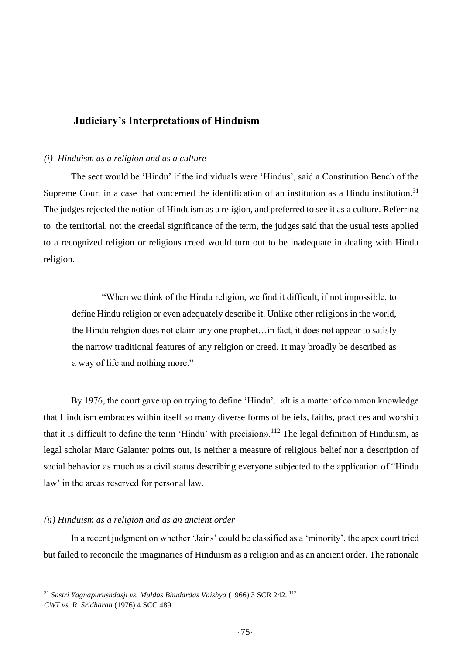# **Judiciary's Interpretations of Hinduism**

### *(i) Hinduism as a religion and as a culture*

The sect would be 'Hindu' if the individuals were 'Hindus', said a Constitution Bench of the Supreme Court in a case that concerned the identification of an institution as a Hindu institution.<sup>31</sup> The judges rejected the notion of Hinduism as a religion, and preferred to see it as a culture. Referring to the territorial, not the creedal significance of the term, the judges said that the usual tests applied to a recognized religion or religious creed would turn out to be inadequate in dealing with Hindu religion.

"When we think of the Hindu religion, we find it difficult, if not impossible, to define Hindu religion or even adequately describe it. Unlike other religions in the world, the Hindu religion does not claim any one prophet…in fact, it does not appear to satisfy the narrow traditional features of any religion or creed. It may broadly be described as a way of life and nothing more."

By 1976, the court gave up on trying to define 'Hindu'. «It is a matter of common knowledge that Hinduism embraces within itself so many diverse forms of beliefs, faiths, practices and worship that it is difficult to define the term 'Hindu' with precision».<sup>112</sup> The legal definition of Hinduism, as legal scholar Marc Galanter points out, is neither a measure of religious belief nor a description of social behavior as much as a civil status describing everyone subjected to the application of "Hindu law' in the areas reserved for personal law.

### *(ii) Hinduism as a religion and as an ancient order*

1

In a recent judgment on whether 'Jains' could be classified as a 'minority', the apex court tried but failed to reconcile the imaginaries of Hinduism as a religion and as an ancient order. The rationale

<sup>31</sup> *Sastri Yagnapurushdasji vs. Muldas Bhudardas Vaishya* (1966) 3 SCR 242. <sup>112</sup> *CWT vs. R. Sridharan* (1976) 4 SCC 489.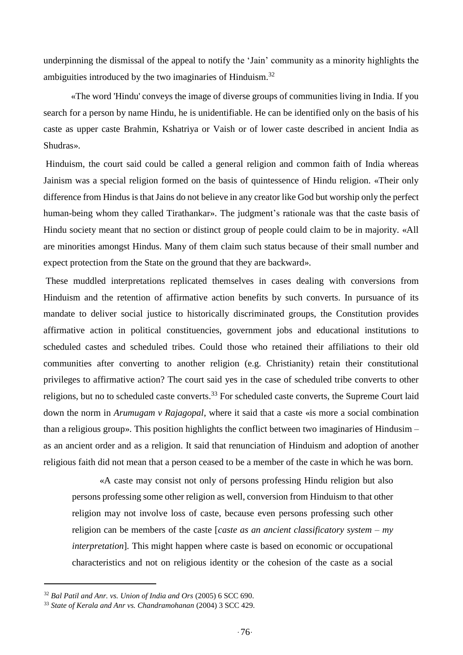underpinning the dismissal of the appeal to notify the 'Jain' community as a minority highlights the ambiguities introduced by the two imaginaries of Hinduism.<sup>32</sup>

«The word 'Hindu' conveys the image of diverse groups of communities living in India. If you search for a person by name Hindu, he is unidentifiable. He can be identified only on the basis of his caste as upper caste Brahmin, Kshatriya or Vaish or of lower caste described in ancient India as Shudras».

Hinduism, the court said could be called a general religion and common faith of India whereas Jainism was a special religion formed on the basis of quintessence of Hindu religion. «Their only difference from Hindus is that Jains do not believe in any creator like God but worship only the perfect human-being whom they called Tirathankar». The judgment's rationale was that the caste basis of Hindu society meant that no section or distinct group of people could claim to be in majority. «All are minorities amongst Hindus. Many of them claim such status because of their small number and expect protection from the State on the ground that they are backward».

These muddled interpretations replicated themselves in cases dealing with conversions from Hinduism and the retention of affirmative action benefits by such converts. In pursuance of its mandate to deliver social justice to historically discriminated groups, the Constitution provides affirmative action in political constituencies, government jobs and educational institutions to scheduled castes and scheduled tribes. Could those who retained their affiliations to their old communities after converting to another religion (e.g. Christianity) retain their constitutional privileges to affirmative action? The court said yes in the case of scheduled tribe converts to other religions, but no to scheduled caste converts.<sup>33</sup> For scheduled caste converts, the Supreme Court laid down the norm in *Arumugam v Rajagopal*, where it said that a caste «is more a social combination than a religious group». This position highlights the conflict between two imaginaries of Hindusim – as an ancient order and as a religion. It said that renunciation of Hinduism and adoption of another religious faith did not mean that a person ceased to be a member of the caste in which he was born.

«A caste may consist not only of persons professing Hindu religion but also persons professing some other religion as well, conversion from Hinduism to that other religion may not involve loss of caste, because even persons professing such other religion can be members of the caste [*caste as an ancient classificatory system – my interpretation*]*.* This might happen where caste is based on economic or occupational characteristics and not on religious identity or the cohesion of the caste as a social

<sup>32</sup> *Bal Patil and Anr. vs. Union of India and Ors* (2005) 6 SCC 690.

<sup>33</sup> *State of Kerala and Anr vs. Chandramohanan* (2004) 3 SCC 429.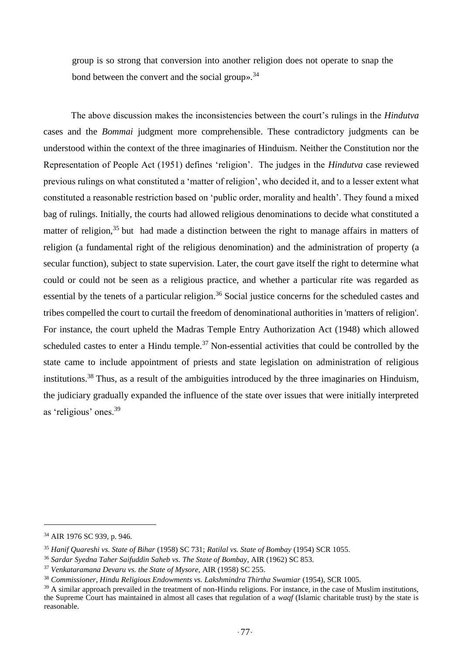group is so strong that conversion into another religion does not operate to snap the bond between the convert and the social group».<sup>34</sup>

The above discussion makes the inconsistencies between the court's rulings in the *Hindutva* cases and the *Bommai* judgment more comprehensible. These contradictory judgments can be understood within the context of the three imaginaries of Hinduism. Neither the Constitution nor the Representation of People Act (1951) defines 'religion'. The judges in the *Hindutva* case reviewed previous rulings on what constituted a 'matter of religion', who decided it, and to a lesser extent what constituted a reasonable restriction based on 'public order, morality and health'. They found a mixed bag of rulings. Initially, the courts had allowed religious denominations to decide what constituted a matter of religion,<sup>35</sup> but had made a distinction between the right to manage affairs in matters of religion (a fundamental right of the religious denomination) and the administration of property (a secular function), subject to state supervision. Later, the court gave itself the right to determine what could or could not be seen as a religious practice, and whether a particular rite was regarded as essential by the tenets of a particular religion.<sup>36</sup> Social justice concerns for the scheduled castes and tribes compelled the court to curtail the freedom of denominational authorities in 'matters of religion'. For instance, the court upheld the Madras Temple Entry Authorization Act (1948) which allowed scheduled castes to enter a Hindu temple.<sup>37</sup> Non-essential activities that could be controlled by the state came to include appointment of priests and state legislation on administration of religious institutions.<sup>38</sup> Thus, as a result of the ambiguities introduced by the three imaginaries on Hinduism, the judiciary gradually expanded the influence of the state over issues that were initially interpreted as 'religious' ones.<sup>39</sup>

<sup>34</sup> AIR 1976 SC 939, p. 946.

<sup>35</sup> *Hanif Quareshi vs. State of Bihar* (1958) SC 731; *Ratilal vs. State of Bombay* (1954) SCR 1055.

<sup>36</sup> *Sardar Syedna Taher Saifuddin Saheb vs. The State of Bombay,* AIR (1962) SC 853.

<sup>37</sup> *Venkataramana Devaru vs. the State of Mysore,* AIR (1958) SC 255.

<sup>38</sup> *Commissioner, Hindu Religious Endowments vs. Lakshmindra Thirtha Swamiar* (1954), SCR 1005.

 $39$  A similar approach prevailed in the treatment of non-Hindu religions. For instance, in the case of Muslim institutions, the Supreme Court has maintained in almost all cases that regulation of a *waqf* (Islamic charitable trust) by the state is reasonable.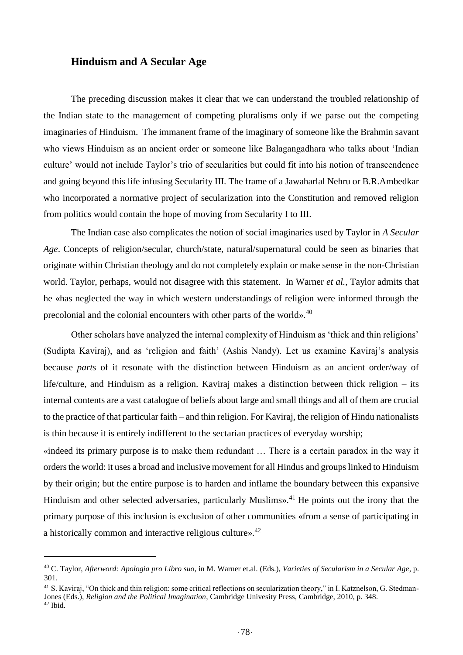## **Hinduism and A Secular Age**

The preceding discussion makes it clear that we can understand the troubled relationship of the Indian state to the management of competing pluralisms only if we parse out the competing imaginaries of Hinduism. The immanent frame of the imaginary of someone like the Brahmin savant who views Hinduism as an ancient order or someone like Balagangadhara who talks about 'Indian culture' would not include Taylor's trio of secularities but could fit into his notion of transcendence and going beyond this life infusing Secularity III. The frame of a Jawaharlal Nehru or B.R.Ambedkar who incorporated a normative project of secularization into the Constitution and removed religion from politics would contain the hope of moving from Secularity I to III.

The Indian case also complicates the notion of social imaginaries used by Taylor in *A Secular Age*. Concepts of religion/secular, church/state, natural/supernatural could be seen as binaries that originate within Christian theology and do not completely explain or make sense in the non-Christian world. Taylor, perhaps, would not disagree with this statement. In Warner *et al.*, Taylor admits that he «has neglected the way in which western understandings of religion were informed through the precolonial and the colonial encounters with other parts of the world».<sup>40</sup>

Other scholars have analyzed the internal complexity of Hinduism as 'thick and thin religions' (Sudipta Kaviraj), and as 'religion and faith' (Ashis Nandy). Let us examine Kaviraj's analysis because *parts* of it resonate with the distinction between Hinduism as an ancient order/way of life/culture, and Hinduism as a religion. Kaviraj makes a distinction between thick religion – its internal contents are a vast catalogue of beliefs about large and small things and all of them are crucial to the practice of that particular faith – and thin religion. For Kaviraj, the religion of Hindu nationalists is thin because it is entirely indifferent to the sectarian practices of everyday worship;

«indeed its primary purpose is to make them redundant … There is a certain paradox in the way it orders the world: it uses a broad and inclusive movement for all Hindus and groups linked to Hinduism by their origin; but the entire purpose is to harden and inflame the boundary between this expansive Hinduism and other selected adversaries, particularly Muslims».<sup>41</sup> He points out the irony that the primary purpose of this inclusion is exclusion of other communities «from a sense of participating in a historically common and interactive religious culture».<sup>42</sup>

<sup>40</sup> C. Taylor, *Afterword: Apologia pro Libro suo*, in M. Warner et.al. (Eds.), *Varieties of Secularism in a Secular Age*, p. 301.

<sup>&</sup>lt;sup>41</sup> S. Kaviraj, "On thick and thin religion: some critical reflections on secularization theory," in I. Katznelson, G. Stedman-Jones (Eds.), *Religion and the Political Imagination*, Cambridge Univesity Press, Cambridge, 2010, p. 348.

<sup>42</sup> Ibid.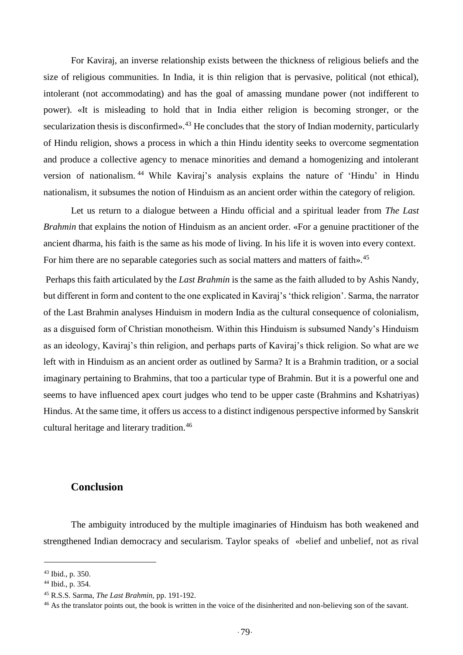For Kaviraj, an inverse relationship exists between the thickness of religious beliefs and the size of religious communities. In India, it is thin religion that is pervasive, political (not ethical), intolerant (not accommodating) and has the goal of amassing mundane power (not indifferent to power). «It is misleading to hold that in India either religion is becoming stronger, or the secularization thesis is disconfirmed».<sup>43</sup> He concludes that the story of Indian modernity, particularly of Hindu religion, shows a process in which a thin Hindu identity seeks to overcome segmentation and produce a collective agency to menace minorities and demand a homogenizing and intolerant version of nationalism. <sup>44</sup> While Kaviraj's analysis explains the nature of 'Hindu' in Hindu nationalism, it subsumes the notion of Hinduism as an ancient order within the category of religion.

Let us return to a dialogue between a Hindu official and a spiritual leader from *The Last Brahmin* that explains the notion of Hinduism as an ancient order. «For a genuine practitioner of the ancient dharma, his faith is the same as his mode of living. In his life it is woven into every context. For him there are no separable categories such as social matters and matters of faith».<sup>45</sup>

Perhaps this faith articulated by the *Last Brahmin* is the same as the faith alluded to by Ashis Nandy, but different in form and content to the one explicated in Kaviraj's 'thick religion'. Sarma, the narrator of the Last Brahmin analyses Hinduism in modern India as the cultural consequence of colonialism, as a disguised form of Christian monotheism. Within this Hinduism is subsumed Nandy's Hinduism as an ideology, Kaviraj's thin religion, and perhaps parts of Kaviraj's thick religion. So what are we left with in Hinduism as an ancient order as outlined by Sarma? It is a Brahmin tradition, or a social imaginary pertaining to Brahmins, that too a particular type of Brahmin. But it is a powerful one and seems to have influenced apex court judges who tend to be upper caste (Brahmins and Kshatriyas) Hindus. At the same time, it offers us access to a distinct indigenous perspective informed by Sanskrit cultural heritage and literary tradition.<sup>46</sup>

## **Conclusion**

The ambiguity introduced by the multiple imaginaries of Hinduism has both weakened and strengthened Indian democracy and secularism. Taylor speaks of «belief and unbelief, not as rival

<sup>43</sup> Ibid., p. 350.

<sup>44</sup> Ibid., p. 354.

<sup>45</sup> R.S.S. Sarma, *The Last Brahmin,* pp. 191-192.

<sup>&</sup>lt;sup>46</sup> As the translator points out, the book is written in the voice of the disinherited and non-believing son of the savant.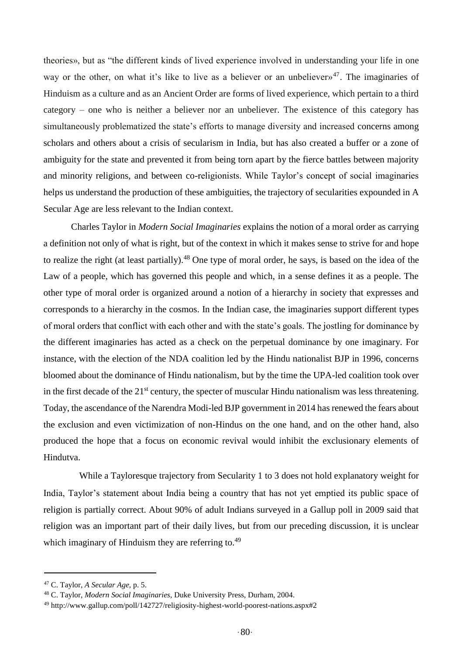theories», but as "the different kinds of lived experience involved in understanding your life in one way or the other, on what it's like to live as a believer or an unbeliever  $47$ . The imaginaries of Hinduism as a culture and as an Ancient Order are forms of lived experience, which pertain to a third category – one who is neither a believer nor an unbeliever. The existence of this category has simultaneously problematized the state's efforts to manage diversity and increased concerns among scholars and others about a crisis of secularism in India, but has also created a buffer or a zone of ambiguity for the state and prevented it from being torn apart by the fierce battles between majority and minority religions, and between co-religionists. While Taylor's concept of social imaginaries helps us understand the production of these ambiguities, the trajectory of secularities expounded in A Secular Age are less relevant to the Indian context.

Charles Taylor in *Modern Social Imaginaries* explains the notion of a moral order as carrying a definition not only of what is right, but of the context in which it makes sense to strive for and hope to realize the right (at least partially).<sup>48</sup> One type of moral order, he says, is based on the idea of the Law of a people, which has governed this people and which, in a sense defines it as a people. The other type of moral order is organized around a notion of a hierarchy in society that expresses and corresponds to a hierarchy in the cosmos. In the Indian case, the imaginaries support different types of moral orders that conflict with each other and with the state's goals. The jostling for dominance by the different imaginaries has acted as a check on the perpetual dominance by one imaginary. For instance, with the election of the NDA coalition led by the Hindu nationalist BJP in 1996, concerns bloomed about the dominance of Hindu nationalism, but by the time the UPA-led coalition took over in the first decade of the 21<sup>st</sup> century, the specter of muscular Hindu nationalism was less threatening. Today, the ascendance of the Narendra Modi-led BJP government in 2014 has renewed the fears about the exclusion and even victimization of non-Hindus on the one hand, and on the other hand, also produced the hope that a focus on economic revival would inhibit the exclusionary elements of Hindutva.

While a Tayloresque trajectory from Secularity 1 to 3 does not hold explanatory weight for India, Taylor's statement about India being a country that has not yet emptied its public space of religion is partially correct. About 90% of adult Indians surveyed in a Gallup poll in 2009 said that religion was an important part of their daily lives, but from our preceding discussion, it is unclear which imaginary of Hinduism they are referring to.<sup>49</sup>

<sup>47</sup> C. Taylor, *A Secular Age,* p. 5.

<sup>48</sup> C. Taylor, *Modern Social Imaginaries,* Duke University Press, Durham, 2004.

<sup>49</sup> http://www.gallup.com/poll/142727/religiosity-highest-world-poorest-nations.aspx#2